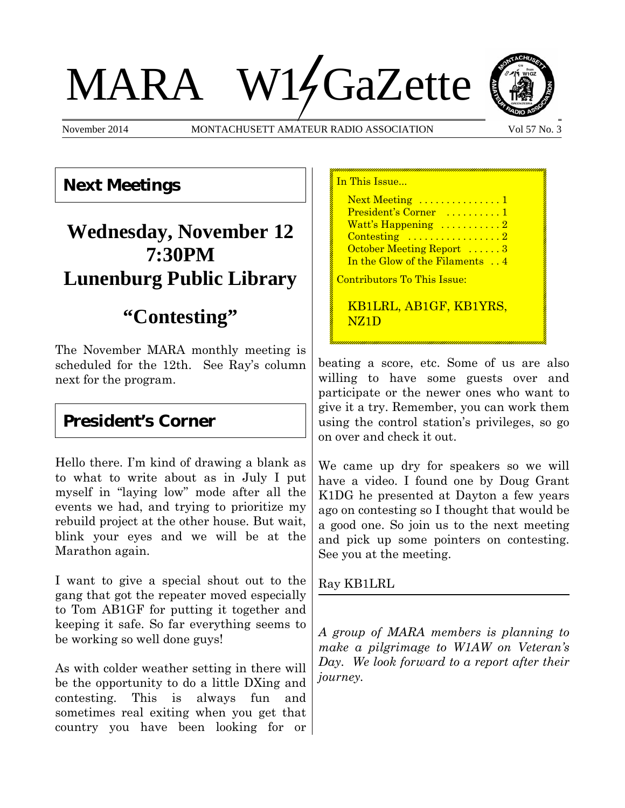# MARA W14GaZette



November 2014 MONTACHUSETT AMATEUR RADIO ASSOCIATION Vol 57 No. 3

### **Next Meetings**

# **Wednesday, November 12 7:30PM Lunenburg Public Library**

# **"Contesting"**

The November MARA monthly meeting is scheduled for the 12th. See Ray's column next for the program.

## **President's Corner**

Hello there. I'm kind of drawing a blank as to what to write about as in July I put myself in "laying low" mode after all the events we had, and trying to prioritize my rebuild project at the other house. But wait, blink your eyes and we will be at the Marathon again.

I want to give a special shout out to the gang that got the repeater moved especially to Tom AB1GF for putting it together and keeping it safe. So far everything seems to be working so well done guys!

As with colder weather setting in there will be the opportunity to do a little DXing and contesting. This is always fun and sometimes real exiting when you get that country you have been looking for or In This Issue... Next Meeting ..............1 President's Corner .........1 Watt's Happening  $\dots\dots\dots2$ Contesting ...................2 October Meeting Report ......3 In the Glow of the Filaments . . 4 Contributors To This Issue:

KB1LRL, AB1GF, KB1YRS, NZ1D

beating a score, etc. Some of us are also willing to have some guests over and participate or the newer ones who want to give it a try. Remember, you can work them using the control station's privileges, so go on over and check it out.

We came up dry for speakers so we will have a video. I found one by Doug Grant K1DG he presented at Dayton a few years ago on contesting so I thought that would be a good one. So join us to the next meeting and pick up some pointers on contesting. See you at the meeting.

Ray KB1LRL

*A group of MARA members is planning to make a pilgrimage to W1AW on Veteran's Day. We look forward to a report after their journey.*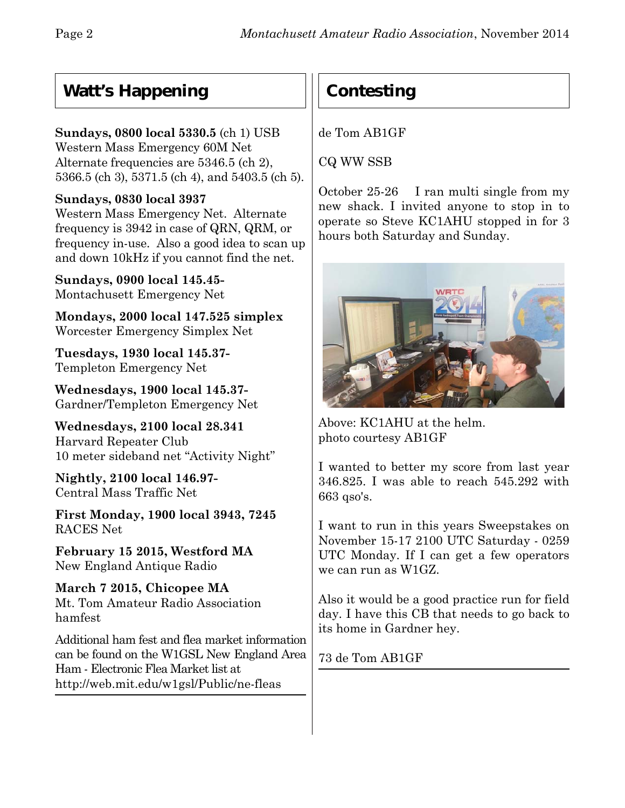## **Watt's Happening**

#### **Sundays, 0800 local 5330.5** (ch 1) USB

Western Mass Emergency 60M Net Alternate frequencies are 5346.5 (ch 2), 5366.5 (ch 3), 5371.5 (ch 4), and 5403.5 (ch 5).

#### **Sundays, 0830 local 3937**

Western Mass Emergency Net. Alternate frequency is 3942 in case of QRN, QRM, or frequency in-use. Also a good idea to scan up and down 10kHz if you cannot find the net.

**Sundays, 0900 local 145.45-** Montachusett Emergency Net

**Mondays, 2000 local 147.525 simplex** Worcester Emergency Simplex Net

**Tuesdays, 1930 local 145.37-** Templeton Emergency Net

**Wednesdays, 1900 local 145.37-** Gardner/Templeton Emergency Net

**Wednesdays, 2100 local 28.341** Harvard Repeater Club 10 meter sideband net "Activity Night"

**Nightly, 2100 local 146.97-** Central Mass Traffic Net

**First Monday, 1900 local 3943, 7245** RACES Net

**February 15 2015, Westford MA** New England Antique Radio

**March 7 2015, Chicopee MA** Mt. Tom Amateur Radio Association hamfest

Additional ham fest and flea market information can be found on the W1GSL New England Area Ham - Electronic Flea Market list at http://web.mit.edu/w1gsl/Public/ne-fleas

# **Contesting**

de Tom AB1GF

CQ WW SSB

October 25-26 I ran multi single from my new shack. I invited anyone to stop in to operate so Steve KC1AHU stopped in for 3 hours both Saturday and Sunday.



Above: KC1AHU at the helm. photo courtesy AB1GF

I wanted to better my score from last year 346.825. I was able to reach 545.292 with 663 qso's.

I want to run in this years Sweepstakes on November 15-17 2100 UTC Saturday - 0259 UTC Monday. If I can get a few operators we can run as W1GZ.

Also it would be a good practice run for field day. I have this CB that needs to go back to its home in Gardner hey.

73 de Tom AB1GF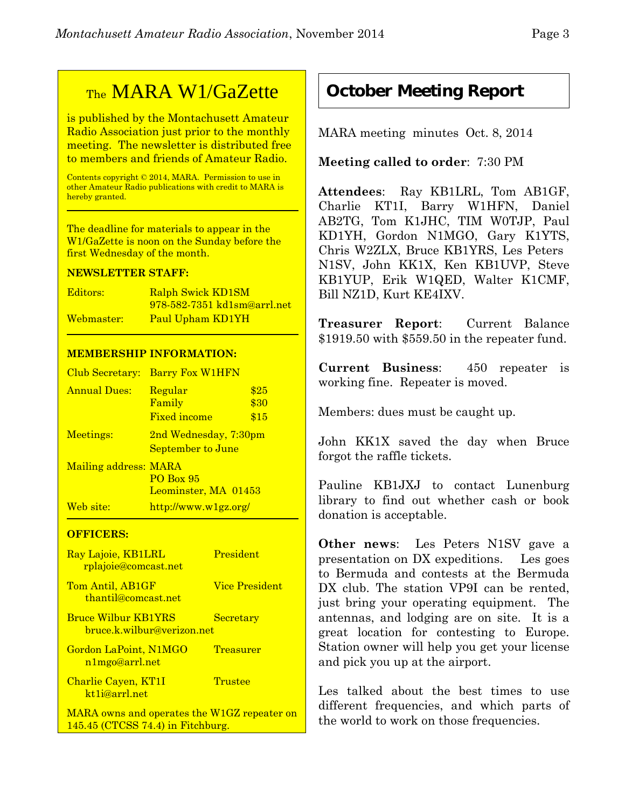## TheMARA W1/GaZette

is published by the Montachusett Amateur Radio Association just prior to the monthly meeting. The newsletter is distributed free to members and friends of Amateur Radio.

Contents copyright © 2014, MARA. Permission to use in other Amateur Radio publications with credit to MARA is hereby granted.

The deadline for materials to appear in the W1/GaZette is noon on the Sunday before the first Wednesday of the month.

#### **NEWSLETTER STAFF:**

| Editors:   | Ralph Swick KD1SM                  |
|------------|------------------------------------|
|            | <u>978-582-7351 kd1sm@arrl.net</u> |
| Webmaster: | Paul Upham KD1YH                   |

#### **MEMBERSHIP INFORMATION:**

| Club Secretary:       | <b>Barry Fox W1HFN</b>                              |              |
|-----------------------|-----------------------------------------------------|--------------|
| <b>Annual Dues:</b>   | Regular<br>Family                                   | \$25<br>\$30 |
|                       | <b>Fixed income</b>                                 | \$15         |
| Meetings:             | 2nd Wednesday, 7:30pm<br>September to June          |              |
| Mailing address: MARA | <b>PO Box 95</b><br>Leominster, MA 01453            |              |
| Web site:             | $\frac{http://www.w1gz.org/}{http://www.w1gz.org/}$ |              |

#### **OFFICERS:**

| Ray Lajoie, KB1LRL<br>rplajoie@comcast.net               | President             |
|----------------------------------------------------------|-----------------------|
| Tom Antil, AB1GF<br>thantil@comcast.net                  | <b>Vice President</b> |
| <b>Bruce Wilbur KB1YRS</b><br>bruce.k.wilbur@verizon.net | Secretary             |
| Gordon LaPoint, N1MGO<br>n1mgo@arrl.net                  | <b>Treasurer</b>      |
| Charlie Cayen, KT1I<br>kt <sub>1</sub> i@arrl.net        | Trustee               |
| MARA owns and operates the W1GZ repeater on              |                       |

145.45 (CTCSS 74.4) in Fitchburg.

#### **October Meeting Report**

MARA meeting minutes Oct. 8, 2014

**Meeting called to order**: 7:30 PM

**Attendees**: Ray KB1LRL, Tom AB1GF, Charlie KT1I, Barry W1HFN, Daniel AB2TG, Tom K1JHC, TIM W0TJP, Paul KD1YH, Gordon N1MGO, Gary K1YTS, Chris W2ZLX, Bruce KB1YRS, Les Peters N1SV, John KK1X, Ken KB1UVP, Steve KB1YUP, Erik W1QED, Walter K1CMF, Bill NZ1D, Kurt KE4IXV.

**Treasurer Report**: Current Balance \$1919.50 with \$559.50 in the repeater fund.

**Current Business**: 450 repeater is working fine. Repeater is moved.

Members: dues must be caught up.

John KK1X saved the day when Bruce forgot the raffle tickets.

Pauline KB1JXJ to contact Lunenburg library to find out whether cash or book donation is acceptable.

**Other news**: Les Peters N1SV gave a presentation on DX expeditions. Les goes to Bermuda and contests at the Bermuda DX club. The station VP9I can be rented, just bring your operating equipment. The antennas, and lodging are on site. It is a great location for contesting to Europe. Station owner will help you get your license and pick you up at the airport.

Les talked about the best times to use different frequencies, and which parts of the world to work on those frequencies.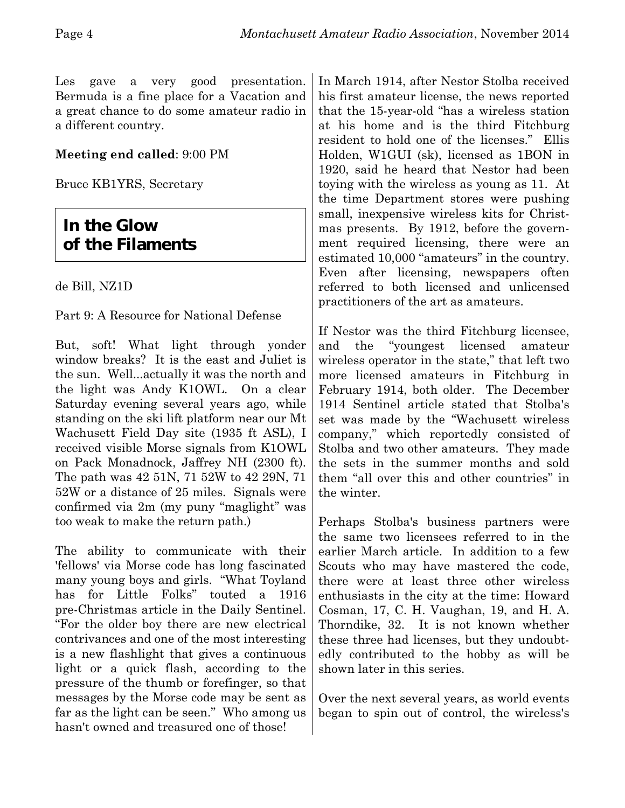Les gave a very good presentation. Bermuda is a fine place for a Vacation and a great chance to do some amateur radio in a different country.

#### **Meeting end called**: 9:00 PM

Bruce KB1YRS, Secretary

#### **In the Glow of the Filaments**

de Bill, NZ1D

#### Part 9: A Resource for National Defense

But, soft! What light through yonder window breaks? It is the east and Juliet is the sun. Well...actually it was the north and the light was Andy K1OWL. On a clear Saturday evening several years ago, while standing on the ski lift platform near our Mt Wachusett Field Day site (1935 ft ASL), I received visible Morse signals from K1OWL on Pack Monadnock, Jaffrey NH (2300 ft). The path was 42 51N, 71 52W to 42 29N, 71 52W or a distance of 25 miles. Signals were confirmed via 2m (my puny "maglight" was too weak to make the return path.)

The ability to communicate with their 'fellows' via Morse code has long fascinated many young boys and girls. "What Toyland has for Little Folks" touted a 1916 pre-Christmas article in the Daily Sentinel. "For the older boy there are new electrical contrivances and one of the most interesting is a new flashlight that gives a continuous light or a quick flash, according to the pressure of the thumb or forefinger, so that messages by the Morse code may be sent as far as the light can be seen." Who among us hasn't owned and treasured one of those!

In March 1914, after Nestor Stolba received his first amateur license, the news reported that the 15-year-old "has a wireless station at his home and is the third Fitchburg resident to hold one of the licenses." Ellis Holden, W1GUI (sk), licensed as 1BON in 1920, said he heard that Nestor had been toying with the wireless as young as 11. At the time Department stores were pushing small, inexpensive wireless kits for Christmas presents. By 1912, before the government required licensing, there were an estimated 10,000 "amateurs" in the country. Even after licensing, newspapers often referred to both licensed and unlicensed practitioners of the art as amateurs.

If Nestor was the third Fitchburg licensee, and the "youngest licensed amateur wireless operator in the state," that left two more licensed amateurs in Fitchburg in February 1914, both older. The December 1914 Sentinel article stated that Stolba's set was made by the "Wachusett wireless company," which reportedly consisted of Stolba and two other amateurs. They made the sets in the summer months and sold them "all over this and other countries" in the winter.

Perhaps Stolba's business partners were the same two licensees referred to in the earlier March article. In addition to a few Scouts who may have mastered the code, there were at least three other wireless enthusiasts in the city at the time: Howard Cosman, 17, C. H. Vaughan, 19, and H. A. Thorndike, 32. It is not known whether these three had licenses, but they undoubtedly contributed to the hobby as will be shown later in this series.

Over the next several years, as world events began to spin out of control, the wireless's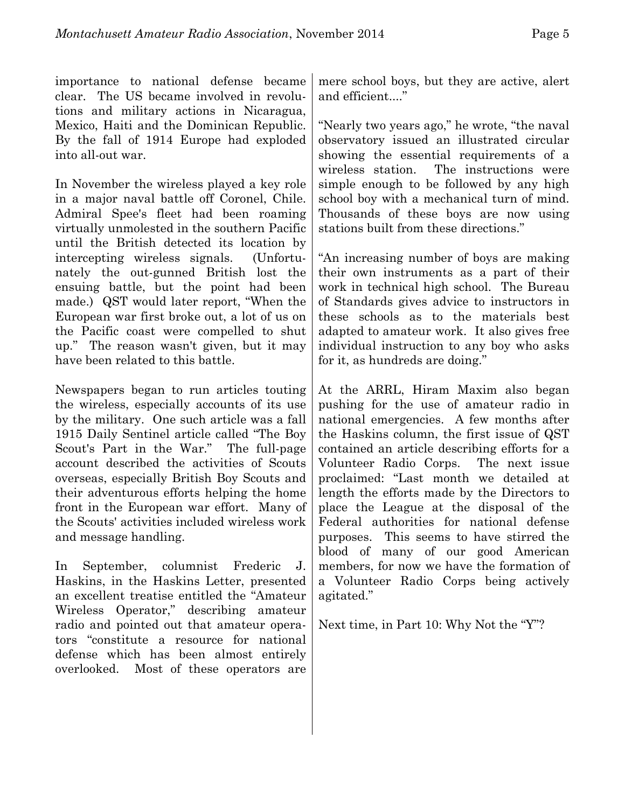importance to national defense became clear. The US became involved in revolutions and military actions in Nicaragua, Mexico, Haiti and the Dominican Republic. By the fall of 1914 Europe had exploded into all-out war.

In November the wireless played a key role in a major naval battle off Coronel, Chile. Admiral Spee's fleet had been roaming virtually unmolested in the southern Pacific until the British detected its location by intercepting wireless signals. (Unfortunately the out-gunned British lost the ensuing battle, but the point had been made.) QST would later report, "When the European war first broke out, a lot of us on the Pacific coast were compelled to shut up." The reason wasn't given, but it may have been related to this battle.

Newspapers began to run articles touting the wireless, especially accounts of its use by the military. One such article was a fall 1915 Daily Sentinel article called "The Boy Scout's Part in the War." The full-page account described the activities of Scouts overseas, especially British Boy Scouts and their adventurous efforts helping the home front in the European war effort. Many of the Scouts' activities included wireless work and message handling.

In September, columnist Frederic J. Haskins, in the Haskins Letter, presented an excellent treatise entitled the "Amateur Wireless Operator," describing amateur radio and pointed out that amateur operators "constitute a resource for national defense which has been almost entirely overlooked. Most of these operators are

mere school boys, but they are active, alert and efficient...."

"Nearly two years ago," he wrote, "the naval observatory issued an illustrated circular showing the essential requirements of a wireless station. The instructions were simple enough to be followed by any high school boy with a mechanical turn of mind. Thousands of these boys are now using stations built from these directions."

"An increasing number of boys are making their own instruments as a part of their work in technical high school. The Bureau of Standards gives advice to instructors in these schools as to the materials best adapted to amateur work. It also gives free individual instruction to any boy who asks for it, as hundreds are doing."

At the ARRL, Hiram Maxim also began pushing for the use of amateur radio in national emergencies. A few months after the Haskins column, the first issue of QST contained an article describing efforts for a Volunteer Radio Corps. The next issue proclaimed: "Last month we detailed at length the efforts made by the Directors to place the League at the disposal of the Federal authorities for national defense purposes. This seems to have stirred the blood of many of our good American members, for now we have the formation of a Volunteer Radio Corps being actively agitated."

Next time, in Part 10: Why Not the "Y"?